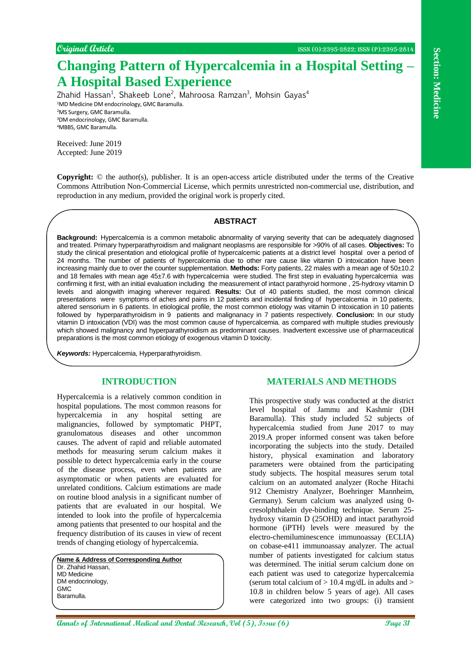# **Changing Pattern of Hypercalcemia in a Hospital Setting – A Hospital Based Experience**

Zhahid Hassan<sup>1</sup>, Shakeeb Lone<sup>2</sup>, Mahroosa Ramzan<sup>3</sup>, Mohsin Gayas<sup>4</sup> <sup>1</sup>MD Medicine DM endocrinology, GMC Baramulla. <sup>2</sup>MS Surgery, GMC Baramulla. <sup>3</sup>DM endocrinology, GMC Baramulla. <sup>4</sup>MBBS, GMC Baramulla.

Received: June 2019 Accepted: June 2019

**Copyright:** © the author(s), publisher. It is an open-access article distributed under the terms of the Creative Commons Attribution Non-Commercial License, which permits unrestricted non-commercial use, distribution, and reproduction in any medium, provided the original work is properly cited.

#### **ABSTRACT**

**Annals of International Medical Annals of International Medical Annals (Section 2)**<br> **An Interpretational Medical Annals (Specifical and Dental Research)**<br> **Annals Hassey Statistics (Specifical Annals Research)**<br> **Annals Background:** Hypercalcemia is a common metabolic abnormality of varying severity that can be adequately diagnosed and treated. Primary hyperparathyroidism and malignant neoplasms are responsible for >90% of all cases. **Objectives:** To study the clinical presentation and etiological profile of hypercalcemic patients at a district level hospital over a period of 24 months. The number of patients of hypercalcemia due to other rare cause like vitamin D intoxication have been increasing mainly due to over the counter supplementation. **Methods:** Forty patients, 22 males with a mean age of 50±10.2 and 18 females with mean age 45±7.6 with hypercalcemia were studied. The first step in evaluating hypercalcemia was confirming it first, with an initial evaluation including the measurement of intact parathyroid hormone , 25-hydroxy vitamin D levels and alongwith imaging wherever required. **Results:** Out of 40 patients studied, the most common clinical presentations were symptoms of aches and pains in 12 patients and incidental finding of hypercalcemia in 10 patients, altered sensorium in 6 patients. In etiological profile, the most common etiology was vitamin D intoxication in 10 patients followed by hyperparathyroidism in 9 patients and malignanacy in 7 patients respectively. **Conclusion:** In our study vitamin D intoxication (VDI) was the most common cause of hypercalcemia. as compared with multiple studies previously which showed malignancy and hyperparathyroidism as predominant causes. Inadvertent excessive use of pharmaceutical preparations is the most common etiology of exogenous vitamin D toxicity.

*Keywords:* Hypercalcemia, Hyperparathyroidism.

## **INTRODUCTION**

Hypercalcemia is a relatively common condition in hospital populations. The most common reasons for hypercalcemia in any hospital setting are malignancies, followed by symptomatic PHPT, granulomatous diseases and other uncommon causes. The advent of rapid and reliable automated methods for measuring serum calcium makes it possible to detect hypercalcemia early in the course of the disease process, even when patients are asymptomatic or when patients are evaluated for unrelated conditions. Calcium estimations are made on routine blood analysis in a significant number of patients that are evaluated in our hospital. We intended to look into the profile of hypercalcemia among patients that presented to our hospital and the frequency distribution of its causes in view of recent trends of changing etiology of hypercalcemia.

**Name & Address of Corresponding Author** Dr. Zhahid Hassan, MD Medicine DM endocrinology, GMC Baramulla.

## **MATERIALS AND METHODS**

This prospective study was conducted at the district level hospital of Jammu and Kashmir (DH Baramulla). This study included 52 subjects of hypercalcemia studied from June 2017 to may 2019.A proper informed consent was taken before incorporating the subjects into the study. Detailed history, physical examination and laboratory parameters were obtained from the participating study subjects. The hospital measures serum total calcium on an automated analyzer (Roche Hitachi 912 Chemistry Analyzer, Boehringer Mannheim, Germany). Serum calcium was analyzed using 0 cresolphthalein dye-binding technique. Serum 25 hydroxy vitamin D (25OHD) and intact parathyroid hormone (iPTH) levels were measured by the electro-chemiluminescence immunoassay (ECLIA) on cobase-e411 immunoassay analyzer. The actual number of patients investigated for calcium status was determined. The initial serum calcium done on each patient was used to categorize hypercalcemia (serum total calcium of  $> 10.4$  mg/dL in adults and  $>$ 10.8 in children below 5 years of age). All cases were categorized into two groups: (i) transient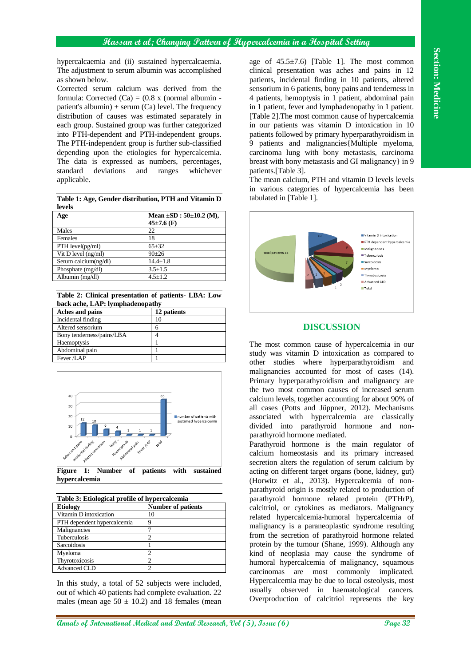Section: Medicine **Section: Medicine**

hypercalcaemia and (ii) sustained hypercalcaemia. The adjustment to serum albumin was accomplished as shown below.

Corrected serum calcium was derived from the formula: Corrected  $(Ca) = (0.8 \times (normal \ album \infty))$ patient's albumin) + serum  $(Ca)$  level. The frequency distribution of causes was estimated separately in each group. Sustained group was further categorized into PTH-dependent and PTH-independent groups. The PTH-independent group is further sub-classified depending upon the etiologies for hypercalcemia. The data is expressed as numbers, percentages, standard deviations and ranges whichever applicable.

**Table 1: Age, Gender distribution, PTH and Vitamin D levels**

| Age                     | Mean $\pm SD$ : 50 $\pm 10.2$ (M), |
|-------------------------|------------------------------------|
|                         | $45\pm7.6$ (F)                     |
| Males                   | 22                                 |
| Females                 | 18                                 |
| $PTH$ level( $pg/ml$ )  | $65 + 32$                          |
| Vit $D$ level $(ng/ml)$ | $90+26$                            |
| Serum calcium(ng/dl)    | $14.4 + 1.8$                       |
| Phosphate $(mg/dl)$     | $3.5 \pm 1.5$                      |
| Albumin (mg/dl)         | $4.5 \pm 1.2$                      |

**Table 2: Clinical presentation of patients- LBA: Low back ache, LAP: lymphadenopathy**

| Aches and pains           | 12 patients |
|---------------------------|-------------|
| Incidental finding        | 10          |
| Altered sensorium         |             |
| Bony tenderness/pains/LBA |             |
| Haemoptysis               |             |
| Abdominal pain            |             |
| Fever /LAP                |             |



**Figure 1: Number of patients with sustained hypercalcemia**

| Table 3: Etiological profile of hypercalcemia |                           |
|-----------------------------------------------|---------------------------|
| <b>Etiology</b>                               | <b>Number of patients</b> |
| Vitamin D intoxication                        | 10                        |
| PTH dependent hypercalcemia                   | 9                         |
| Malignancies                                  |                           |
| Tuberculosis                                  | 2                         |
| Sarcoidosis                                   |                           |
| Myeloma                                       | 2                         |
| Thyrotoxicosis                                | 2                         |
| <b>Advanced CLD</b>                           | っ                         |

In this study, a total of 52 subjects were included, out of which 40 patients had complete evaluation. 22 males (mean age  $50 \pm 10.2$ ) and 18 females (mean age of  $45.5\pm7.6$ ) [Table 1]. The most common clinical presentation was aches and pains in 12 patients, incidental finding in 10 patients, altered sensorium in 6 patients, bony pains and tenderness in 4 patients, hemoptysis in 1 patient, abdominal pain in 1 patient, fever and lymphadenopathy in 1 patient. [Table 2].The most common cause of hypercalcemia in our patients was vitamin D intoxication in 10 patients followed by primary hyperparathyroidism in 9 patients and malignancies{Multiple myeloma, carcinoma lung with bony metastasis, carcinoma breast with bony metastasis and GI malignancy} in 9 patients.[Table 3].

The mean calcium, PTH and vitamin D levels levels in various categories of hypercalcemia has been tabulated in [Table 1].



## **DISCUSSION**

The most common cause of hypercalcemia in our study was vitamin D intoxication as compared to other studies where hyperparathyroidism and malignancies accounted for most of cases (14). Primary hyperparathyroidism and malignancy are the two most common causes of increased serum calcium levels, together accounting for about 90% of all cases (Potts and Jüppner, 2012). Mechanisms associated with hypercalcemia are classically divided into parathyroid hormone and nonparathyroid hormone mediated.

Parathyroid hormone is the main regulator of calcium homeostasis and its primary increased secretion alters the regulation of serum calcium by acting on different target organs (bone, kidney, gut) (Horwitz et al., 2013). Hypercalcemia of nonparathyroid origin is mostly related to production of parathyroid hormone related protein (PTHrP), calcitriol, or cytokines as mediators. Malignancy related hypercalcemia-humoral hypercalcemia of malignancy is a paraneoplastic syndrome resulting from the secretion of parathyroid hormone related protein by the tumour (Shane, 1999). Although any kind of neoplasia may cause the syndrome of humoral hypercalcemia of malignancy, squamous carcinomas are most commonly implicated. Hypercalcemia may be due to local osteolysis, most usually observed in haematological cancers. Overproduction of calcitriol represents the key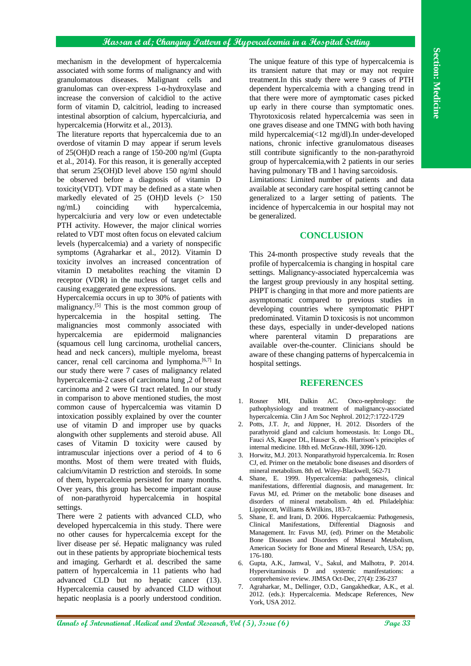## **Hassan et al; Changing Pattern of Hypercalcemia in a Hospital Setting**

mechanism in the development of hypercalcemia associated with some forms of malignancy and with granulomatous diseases. Malignant cells and granulomas can over-express 1-α-hydroxylase and increase the conversion of calcidiol to the active form of vitamin D, calcitriol, leading to increased intestinal absorption of calcium, hypercalciuria, and hypercalcemia (Horwitz et al., 2013).

The literature reports that hypercalcemia due to an overdose of vitamin D may appear if serum levels of 25(OH)D reach a range of 150-200 ng/ml (Gupta et al., 2014). For this reason, it is generally accepted that serum 25(OH)D level above 150 ng/ml should be observed before a diagnosis of vitamin D toxicity(VDT). VDT may be defined as a state when markedly elevated of 25 (OH)D levels (> 150 ng/mL) coinciding with hypercalcemia, hypercalciuria and very low or even undetectable PTH activity. However, the major clinical worries related to VDT most often focus on elevated calcium levels (hypercalcemia) and a variety of nonspecific symptoms (Agraharkar et al., 2012). Vitamin D toxicity involves an increased concentration of vitamin D metabolites reaching the vitamin D receptor (VDR) in the nucleus of target cells and causing exaggerated gene expressions.

Hypercalcemia occurs in up to 30% of patients with malignancy.[5] This is the most common group of hypercalcemia in the hospital setting. The malignancies most commonly associated with hypercalcemia are epidermoid malignancies (squamous cell lung carcinoma, urothelial cancers, head and neck cancers), multiple myeloma, breast cancer, renal cell carcinoma and lymphoma.<sup>[6,7]</sup> In our study there were 7 cases of malignancy related hypercalcemia-2 cases of carcinoma lung ,2 of breast carcinoma and 2 were GI tract related. In our study in comparison to above mentioned studies, the most common cause of hypercalcemia was vitamin D intoxication possibly explained by over the counter use of vitamin D and improper use by quacks alongwith other supplements and steroid abuse. All cases of Vitamin D toxicity were caused by intramuscular injections over a period of 4 to 6 months. Most of them were treated with fluids, calcium/vitamin D restriction and steroids. In some of them, hypercalcemia persisted for many months. Over years, this group has become important cause of non-parathyroid hypercalcemia in hospital settings.

There were 2 patients with advanced CLD, who developed hypercalcemia in this study. There were no other causes for hypercalcemia except for the liver disease per sé. Hepatic malignancy was ruled out in these patients by appropriate biochemical tests and imaging. Gerhardt et al. described the same pattern of hypercalcemia in 11 patients who had advanced CLD but no hepatic cancer (13). Hypercalcemia caused by advanced CLD without hepatic neoplasia is a poorly understood condition.

The unique feature of this type of hypercalcemia is its transient nature that may or may not require treatment.In this study there were 9 cases of PTH dependent hypercalcemia with a changing trend in that there were more of aymptomatic cases picked up early in there course than symptomatic ones. Thyrotoxicosis related hypercalcemia was seen in one graves disease and one TMNG with both having mild hypercalcemia(<12 mg/dl).In under-developed nations, chronic infective granulomatous diseases still contribute significantly to the non-parathyroid group of hypercalcemia,with 2 patients in our series having pulmonary TB and 1 having sarcoidosis.

Limitations: Limited number of patients and data available at secondary care hospital setting cannot be generalized to a larger setting of patients. The incidence of hypercalcemia in our hospital may not be generalized.

## **CONCLUSION**

This 24-month prospective study reveals that the profile of hypercalcemia is changing in hospital care settings. Malignancy-associated hypercalcemia was the largest group previously in any hospital setting. PHPT is changing in that more and more patients are asymptomatic compared to previous studies in developing countries where symptomatic PHPT predominated. Vitamin D toxicosis is not uncommon these days, especially in under-developed nations where parenteral vitamin D preparations are available over-the-counter. Clinicians should be aware of these changing patterns of hypercalcemia in hospital settings.

#### **REFERENCES**

- 1. Rosner MH, Dalkin AC. Onco-nephrology: the pathophysiology and treatment of malignancy-associated hypercalcemia. Clin J Am Soc Nephrol. 2012;7:1722-1729
- 2. Potts, J.T. Jr, and Jüppner, H. 2012. Disorders of the parathyroid gland and calcium homeostasis. In: Longo DL, Fauci AS, Kasper DL, Hauser S, eds. Harrison's principles of internal medicine. 18th ed. McGraw-Hill, 3096-120.
- 3. Horwitz, M.J. 2013. Nonparathyroid hypercalcemia. In: Rosen CJ, ed. Primer on the metabolic bone diseases and disorders of mineral metabolism. 8th ed. Wiley-Blackwell, 562-71
- 4. Shane, E. 1999. Hypercalcemia: pathogenesis, clinical manifestations, differential diagnosis, and management. In: Favus MJ, ed. Primer on the metabolic bone diseases and disorders of mineral metabolism. 4th ed. Philadelphia: Lippincott, Williams &Wilkins, 183-7.
- 5. Shane, E. and Irani, D. 2006. Hypercalcaemia: Pathogenesis, Clinical Manifestations, Differential Diagnosis and Management. In: Favus MJ, (ed). Primer on the Metabolic Bone Diseases and Disorders of Mineral Metabolism, American Society for Bone and Mineral Research, USA; pp, 176-180.
- 6. Gupta, A.K., Jamwal, V., Sakul, and Malhotra, P. 2014. Hypervitaminosis D and systemic manifestations: a comprehensive review. JIMSA Oct-Dec, 27(4): 236-237
- 7. Agraharkar, M., Dellinger, O.D., Gangakhedkar, A.K., et al. 2012. (eds.): Hypercalcemia. Medscape References, New York, USA 2012.